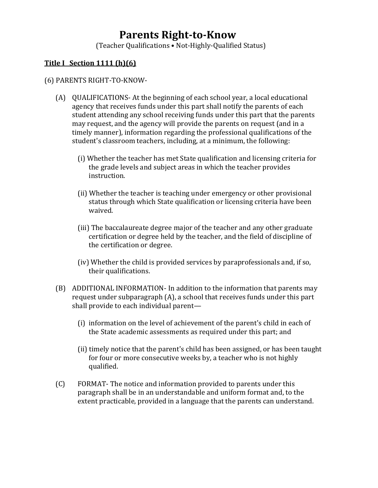## **Parents Right-to-Know**

(Teacher Qualifications • Not-Highly-Qualified Status)

## **Title I Section 1111 (h)(6)**

## (6) PARENTS RIGHT-TO-KNOW-

- (A) QUALIFICATIONS- At the beginning of each school year, a local educational agency that receives funds under this part shall notify the parents of each student attending any school receiving funds under this part that the parents may request, and the agency will provide the parents on request (and in a timely manner), information regarding the professional qualifications of the student's classroom teachers, including, at a minimum, the following:
	- (i) Whether the teacher has met State qualification and licensing criteria for the grade levels and subject areas in which the teacher provides instruction.
	- (ii) Whether the teacher is teaching under emergency or other provisional status through which State qualification or licensing criteria have been waived.
	- (iii) The baccalaureate degree major of the teacher and any other graduate certification or degree held by the teacher, and the field of discipline of the certification or degree.
	- (iv) Whether the child is provided services by paraprofessionals and, if so, their qualifications.
- (B) ADDITIONAL INFORMATION- In addition to the information that parents may request under subparagraph (A), a school that receives funds under this part shall provide to each individual parent—
	- (i) information on the level of achievement of the parent's child in each of the State academic assessments as required under this part; and
	- (ii) timely notice that the parent's child has been assigned, or has been taught for four or more consecutive weeks by, a teacher who is not highly qualified.
- (C) FORMAT- The notice and information provided to parents under this paragraph shall be in an understandable and uniform format and, to the extent practicable, provided in a language that the parents can understand.